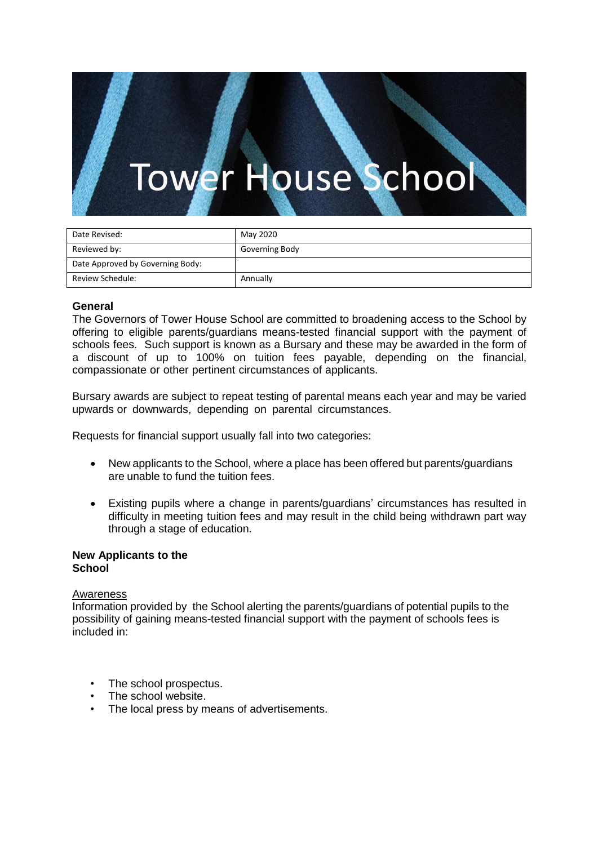# r House School **We**

| Date Revised:                    | May 2020       |
|----------------------------------|----------------|
|                                  |                |
| Reviewed by:                     | Governing Body |
|                                  |                |
| Date Approved by Governing Body: |                |
|                                  |                |
| Review Schedule:                 | Annually       |
|                                  |                |

# **General**

The Governors of Tower House School are committed to broadening access to the School by offering to eligible parents/guardians means-tested financial support with the payment of schools fees. Such support is known as a Bursary and these may be awarded in the form of a discount of up to 100% on tuition fees payable, depending on the financial, compassionate or other pertinent circumstances of applicants.

Bursary awards are subject to repeat testing of parental means each year and may be varied upwards or downwards, depending on parental circumstances.

Requests for financial support usually fall into two categories:

- New applicants to the School, where a place has been offered but parents/guardians are unable to fund the tuition fees.
- Existing pupils where a change in parents/guardians' circumstances has resulted in difficulty in meeting tuition fees and may result in the child being withdrawn part way through a stage of education.

## **New Applicants to the School**

## Awareness

Information provided by the School alerting the parents/guardians of potential pupils to the possibility of gaining means-tested financial support with the payment of schools fees is included in:

- The school prospectus.
- The school website.
- The local press by means of advertisements.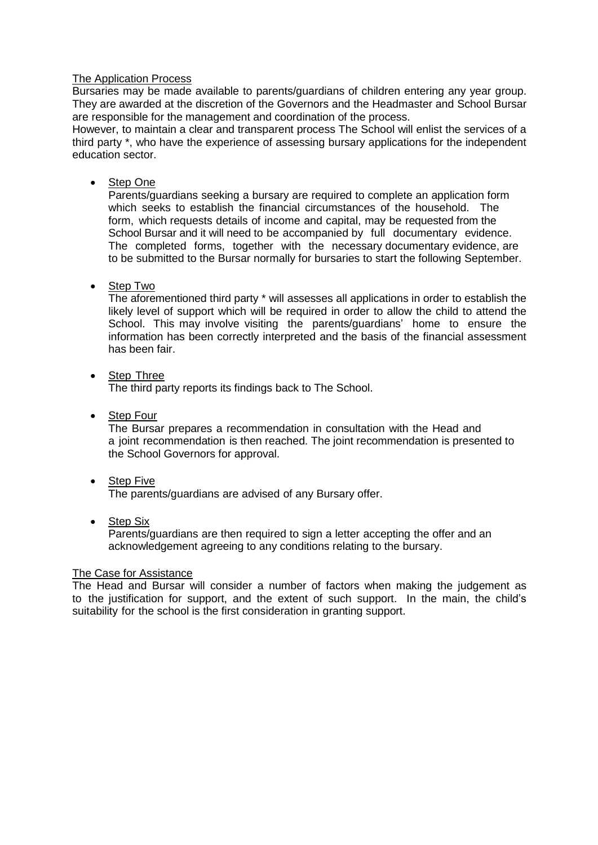# The Application Process

Bursaries may be made available to parents/guardians of children entering any year group. They are awarded at the discretion of the Governors and the Headmaster and School Bursar are responsible for the management and coordination of the process.

However, to maintain a clear and transparent process The School will enlist the services of a third party \*, who have the experience of assessing bursary applications for the independent education sector.

Step One

Parents/guardians seeking a bursary are required to complete an application form which seeks to establish the financial circumstances of the household. The form, which requests details of income and capital, may be requested from the School Bursar and it will need to be accompanied by full documentary evidence. The completed forms, together with the necessary documentary evidence, are to be submitted to the Bursar normally for bursaries to start the following September.

Step Two

The aforementioned third party \* will assesses all applications in order to establish the likely level of support which will be required in order to allow the child to attend the School. This may involve visiting the parents/guardians' home to ensure the information has been correctly interpreted and the basis of the financial assessment has been fair.

• Step Three

The third party reports its findings back to The School.

• Step Four

The Bursar prepares a recommendation in consultation with the Head and a joint recommendation is then reached. The joint recommendation is presented to the School Governors for approval.

- Step Five The parents/guardians are advised of any Bursary offer.
- Step Six

Parents/guardians are then required to sign a letter accepting the offer and an acknowledgement agreeing to any conditions relating to the bursary.

# The Case for Assistance

The Head and Bursar will consider a number of factors when making the judgement as to the justification for support, and the extent of such support. In the main, the child's suitability for the school is the first consideration in granting support.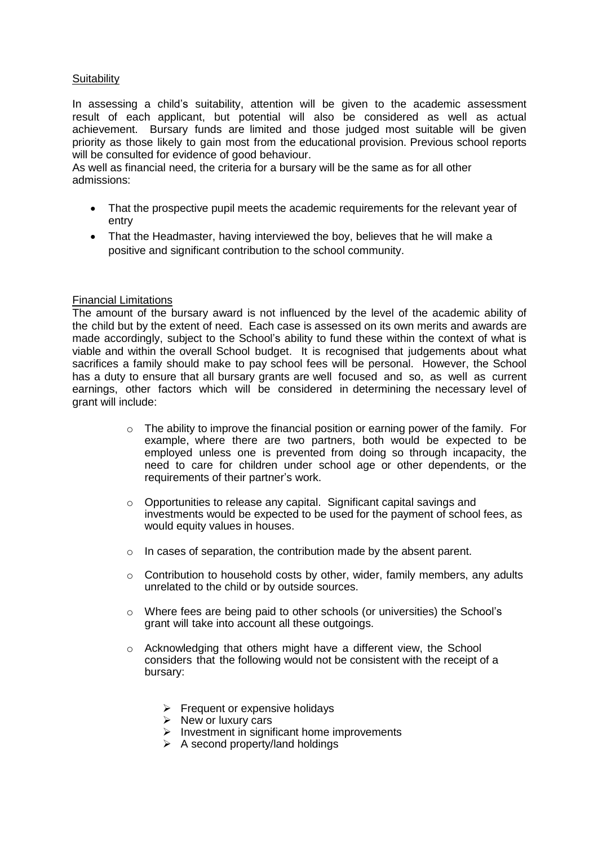# **Suitability**

In assessing a child's suitability, attention will be given to the academic assessment result of each applicant, but potential will also be considered as well as actual achievement. Bursary funds are limited and those judged most suitable will be given priority as those likely to gain most from the educational provision. Previous school reports will be consulted for evidence of good behaviour.

As well as financial need, the criteria for a bursary will be the same as for all other admissions:

- That the prospective pupil meets the academic requirements for the relevant year of entry
- That the Headmaster, having interviewed the boy, believes that he will make a positive and significant contribution to the school community.

# Financial Limitations

The amount of the bursary award is not influenced by the level of the academic ability of the child but by the extent of need. Each case is assessed on its own merits and awards are made accordingly, subject to the School's ability to fund these within the context of what is viable and within the overall School budget. It is recognised that judgements about what sacrifices a family should make to pay school fees will be personal. However, the School has a duty to ensure that all bursary grants are well focused and so, as well as current earnings, other factors which will be considered in determining the necessary level of grant will include:

- $\circ$  The ability to improve the financial position or earning power of the family. For example, where there are two partners, both would be expected to be employed unless one is prevented from doing so through incapacity, the need to care for children under school age or other dependents, or the requirements of their partner's work.
- o Opportunities to release any capital. Significant capital savings and investments would be expected to be used for the payment of school fees, as would equity values in houses.
- $\circ$  In cases of separation, the contribution made by the absent parent.
- $\circ$  Contribution to household costs by other, wider, family members, any adults unrelated to the child or by outside sources.
- o Where fees are being paid to other schools (or universities) the School's grant will take into account all these outgoings.
- o Acknowledging that others might have a different view, the School considers that the following would not be consistent with the receipt of a bursary:
	- $\triangleright$  Frequent or expensive holidays
	- $\triangleright$  New or luxury cars
	- Investment in significant home improvements
	- $\triangleright$  A second property/land holdings